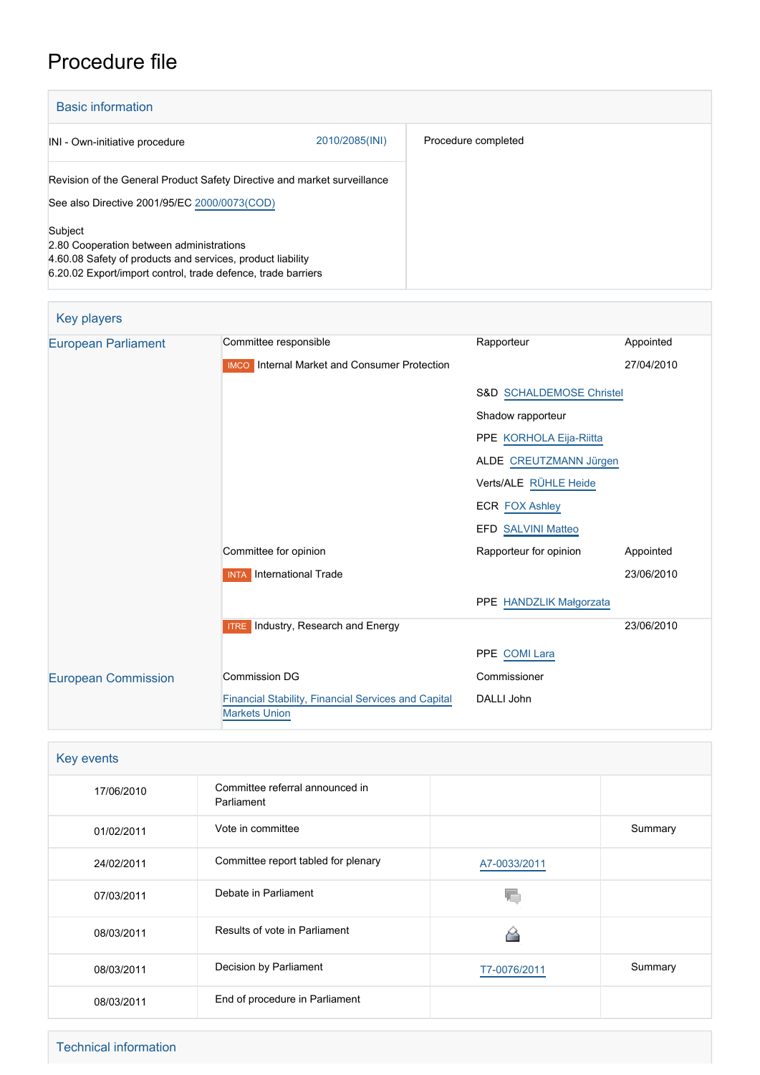## Procedure file

| <b>Basic information</b>                                                                                                                                                          |                |                     |  |
|-----------------------------------------------------------------------------------------------------------------------------------------------------------------------------------|----------------|---------------------|--|
| INI - Own-initiative procedure                                                                                                                                                    | 2010/2085(INI) | Procedure completed |  |
| Revision of the General Product Safety Directive and market surveillance<br>See also Directive 2001/95/EC 2000/0073(COD)                                                          |                |                     |  |
| Subject<br>2.80 Cooperation between administrations<br>4.60.08 Safety of products and services, product liability<br>6.20.02 Export/import control, trade defence, trade barriers |                |                     |  |

| <b>Key players</b>         |                                                                             |                                     |            |  |
|----------------------------|-----------------------------------------------------------------------------|-------------------------------------|------------|--|
| <b>European Parliament</b> | Committee responsible                                                       | Rapporteur                          | Appointed  |  |
|                            | <b>IMCO</b> Internal Market and Consumer Protection                         |                                     | 27/04/2010 |  |
|                            |                                                                             | <b>S&amp;D SCHALDEMOSE Christel</b> |            |  |
|                            |                                                                             | Shadow rapporteur                   |            |  |
|                            |                                                                             | PPE KORHOLA Eija-Riitta             |            |  |
|                            |                                                                             | ALDE CREUTZMANN Jürgen              |            |  |
|                            |                                                                             | Verts/ALE RÜHLE Heide               |            |  |
|                            |                                                                             | <b>ECR FOX Ashley</b>               |            |  |
|                            |                                                                             | EFD SALVINI Matteo                  |            |  |
|                            | Committee for opinion                                                       | Rapporteur for opinion              | Appointed  |  |
|                            | <b>INTA</b> International Trade                                             |                                     | 23/06/2010 |  |
|                            |                                                                             | PPE HANDZLIK Małgorzata             |            |  |
|                            | <b>ITRE</b> Industry, Research and Energy                                   |                                     | 23/06/2010 |  |
|                            |                                                                             | PPE COMI Lara                       |            |  |
| <b>European Commission</b> | <b>Commission DG</b>                                                        | Commissioner                        |            |  |
|                            | Financial Stability, Financial Services and Capital<br><b>Markets Union</b> | DALLI John                          |            |  |

| Key events |                                               |              |         |  |
|------------|-----------------------------------------------|--------------|---------|--|
| 17/06/2010 | Committee referral announced in<br>Parliament |              |         |  |
| 01/02/2011 | Vote in committee                             |              | Summary |  |
| 24/02/2011 | Committee report tabled for plenary           | A7-0033/2011 |         |  |
| 07/03/2011 | Debate in Parliament                          |              |         |  |
| 08/03/2011 | Results of vote in Parliament                 |              |         |  |
| 08/03/2011 | Decision by Parliament                        | T7-0076/2011 | Summary |  |
| 08/03/2011 | End of procedure in Parliament                |              |         |  |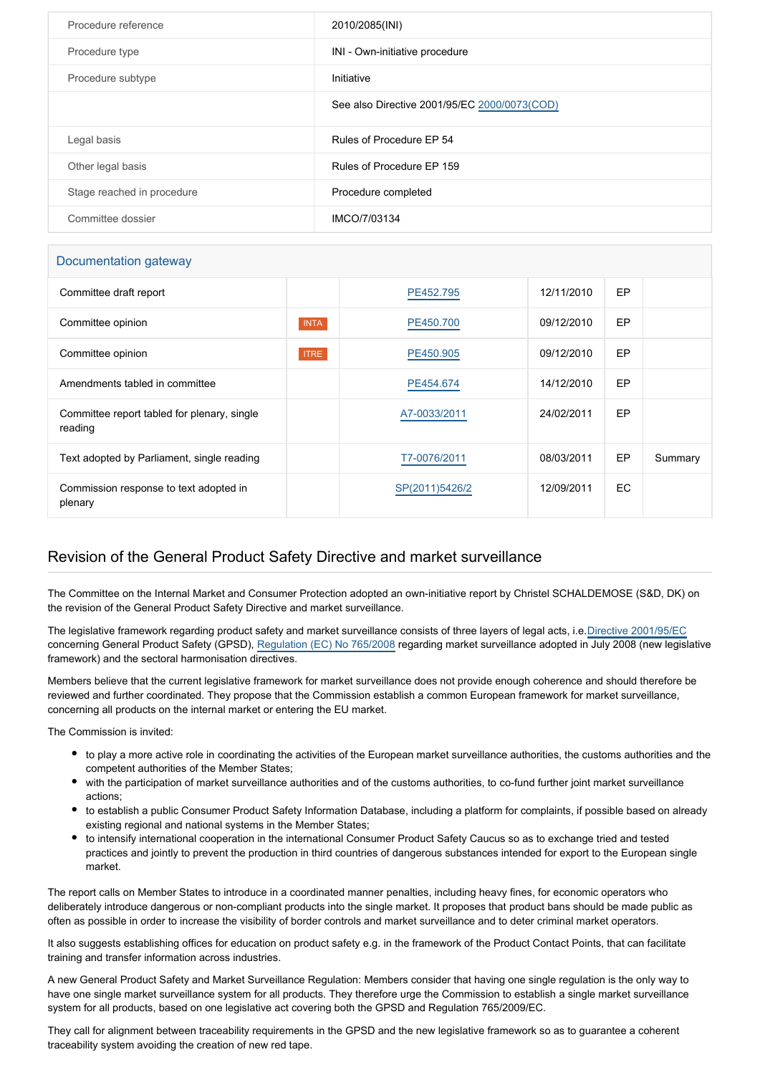| Procedure reference        | 2010/2085(INI)                               |
|----------------------------|----------------------------------------------|
| Procedure type             | INI - Own-initiative procedure               |
| Procedure subtype          | Initiative                                   |
|                            | See also Directive 2001/95/EC 2000/0073(COD) |
| Legal basis                | Rules of Procedure EP 54                     |
| Other legal basis          | Rules of Procedure EP 159                    |
| Stage reached in procedure | Procedure completed                          |
| Committee dossier          | IMCO/7/03134                                 |

## Documentation gateway

| Committee draft report                                 |             | PE452.795      | 12/11/2010 | EP  |         |
|--------------------------------------------------------|-------------|----------------|------------|-----|---------|
| Committee opinion                                      | <b>INTA</b> | PE450.700      | 09/12/2010 | EP  |         |
| Committee opinion                                      | <b>ITRE</b> | PE450.905      | 09/12/2010 | EP  |         |
| Amendments tabled in committee                         |             | PE454.674      | 14/12/2010 | EP  |         |
| Committee report tabled for plenary, single<br>reading |             | A7-0033/2011   | 24/02/2011 | EP  |         |
| Text adopted by Parliament, single reading             |             | T7-0076/2011   | 08/03/2011 | EP  | Summary |
| Commission response to text adopted in<br>plenary      |             | SP(2011)5426/2 | 12/09/2011 | EC. |         |

## Revision of the General Product Safety Directive and market surveillance

The Committee on the Internal Market and Consumer Protection adopted an own-initiative report by Christel SCHALDEMOSE (S&D, DK) on the revision of the General Product Safety Directive and market surveillance.

The legislative framework regarding product safety and market surveillance consists of three layers of legal acts, i.e.[Directive 2001/95/EC](http://www.europarl.europa.eu/oeil/FindByProcnum.do?lang=en&procnum=COD/2000/0073) concerning General Product Safety (GPSD), [Regulation \(EC\) No 765/2008](http://www.europarl.europa.eu/oeil/FindByProcnum.do?lang=en&procnum=COD/2007/0029) regarding market surveillance adopted in July 2008 (new legislative framework) and the sectoral harmonisation directives.

Members believe that the current legislative framework for market surveillance does not provide enough coherence and should therefore be reviewed and further coordinated. They propose that the Commission establish a common European framework for market surveillance, concerning all products on the internal market or entering the EU market.

The Commission is invited:

- to play a more active role in coordinating the activities of the European market surveillance authorities, the customs authorities and the competent authorities of the Member States;
- with the participation of market surveillance authorities and of the customs authorities, to co-fund further joint market surveillance actions;
- to establish a public Consumer Product Safety Information Database, including a platform for complaints, if possible based on already existing regional and national systems in the Member States;
- to intensify international cooperation in the international Consumer Product Safety Caucus so as to exchange tried and tested practices and jointly to prevent the production in third countries of dangerous substances intended for export to the European single market.

The report calls on Member States to introduce in a coordinated manner penalties, including heavy fines, for economic operators who deliberately introduce dangerous or non-compliant products into the single market. It proposes that product bans should be made public as often as possible in order to increase the visibility of border controls and market surveillance and to deter criminal market operators.

It also suggests establishing offices for education on product safety e.g. in the framework of the Product Contact Points, that can facilitate training and transfer information across industries.

A new General Product Safety and Market Surveillance Regulation: Members consider that having one single regulation is the only way to have one single market surveillance system for all products. They therefore urge the Commission to establish a single market surveillance system for all products, based on one legislative act covering both the GPSD and Regulation 765/2009/EC.

They call for alignment between traceability requirements in the GPSD and the new legislative framework so as to guarantee a coherent traceability system avoiding the creation of new red tape.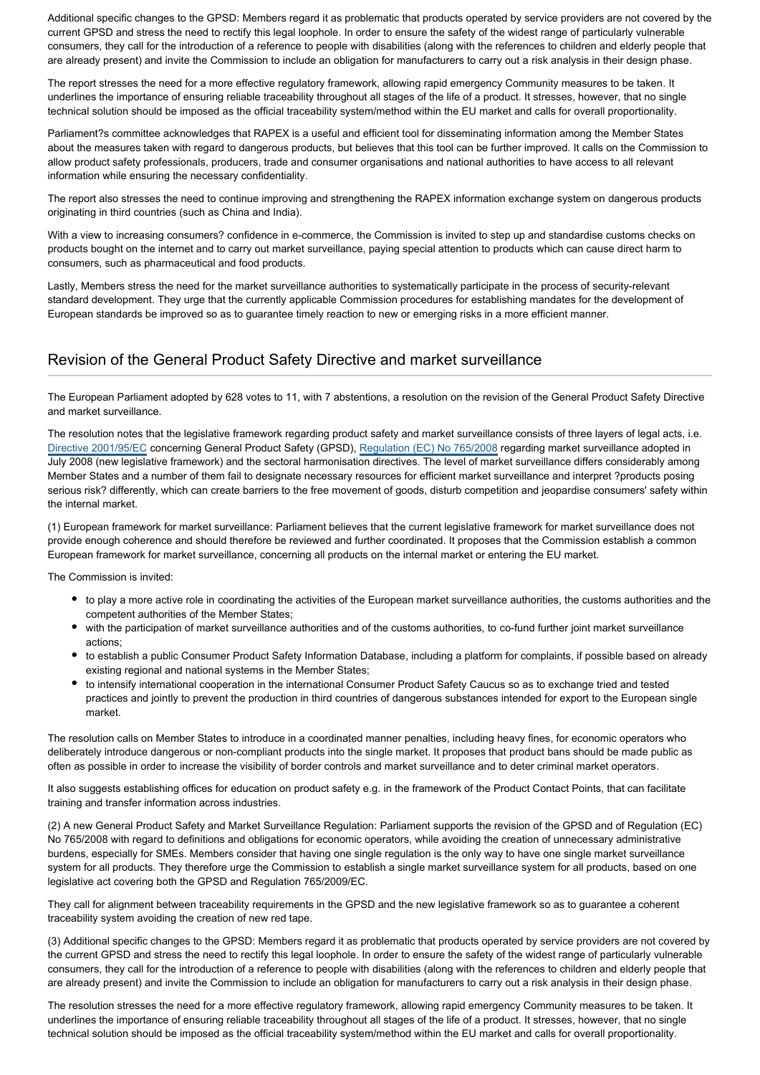Additional specific changes to the GPSD: Members regard it as problematic that products operated by service providers are not covered by the current GPSD and stress the need to rectify this legal loophole. In order to ensure the safety of the widest range of particularly vulnerable consumers, they call for the introduction of a reference to people with disabilities (along with the references to children and elderly people that are already present) and invite the Commission to include an obligation for manufacturers to carry out a risk analysis in their design phase.

The report stresses the need for a more effective regulatory framework, allowing rapid emergency Community measures to be taken. It underlines the importance of ensuring reliable traceability throughout all stages of the life of a product. It stresses, however, that no single technical solution should be imposed as the official traceability system/method within the EU market and calls for overall proportionality.

Parliament?s committee acknowledges that RAPEX is a useful and efficient tool for disseminating information among the Member States about the measures taken with regard to dangerous products, but believes that this tool can be further improved. It calls on the Commission to allow product safety professionals, producers, trade and consumer organisations and national authorities to have access to all relevant information while ensuring the necessary confidentiality.

The report also stresses the need to continue improving and strengthening the RAPEX information exchange system on dangerous products originating in third countries (such as China and India).

With a view to increasing consumers? confidence in e-commerce, the Commission is invited to step up and standardise customs checks on products bought on the internet and to carry out market surveillance, paying special attention to products which can cause direct harm to consumers, such as pharmaceutical and food products.

Lastly, Members stress the need for the market surveillance authorities to systematically participate in the process of security-relevant standard development. They urge that the currently applicable Commission procedures for establishing mandates for the development of European standards be improved so as to guarantee timely reaction to new or emerging risks in a more efficient manner.

## Revision of the General Product Safety Directive and market surveillance

The European Parliament adopted by 628 votes to 11, with 7 abstentions, a resolution on the revision of the General Product Safety Directive and market surveillance.

The resolution notes that the legislative framework regarding product safety and market surveillance consists of three layers of legal acts, i.e. [Directive 2001/95/EC](http://www.europarl.europa.eu/oeil/FindByProcnum.do?lang=en&procnum=COD/2000/0073) concerning General Product Safety (GPSD), [Regulation \(EC\) No 765/2008](http://www.europarl.europa.eu/oeil/FindByProcnum.do?lang=en&procnum=COD/2007/0029) regarding market surveillance adopted in July 2008 (new legislative framework) and the sectoral harmonisation directives. The level of market surveillance differs considerably among Member States and a number of them fail to designate necessary resources for efficient market surveillance and interpret ?products posing serious risk? differently, which can create barriers to the free movement of goods, disturb competition and jeopardise consumers' safety within the internal market.

(1) European framework for market surveillance: Parliament believes that the current legislative framework for market surveillance does not provide enough coherence and should therefore be reviewed and further coordinated. It proposes that the Commission establish a common European framework for market surveillance, concerning all products on the internal market or entering the EU market.

The Commission is invited:

- to play a more active role in coordinating the activities of the European market surveillance authorities, the customs authorities and the competent authorities of the Member States;
- with the participation of market surveillance authorities and of the customs authorities, to co-fund further joint market surveillance actions;
- to establish a public Consumer Product Safety Information Database, including a platform for complaints, if possible based on already existing regional and national systems in the Member States;
- to intensify international cooperation in the international Consumer Product Safety Caucus so as to exchange tried and tested practices and jointly to prevent the production in third countries of dangerous substances intended for export to the European single market.

The resolution calls on Member States to introduce in a coordinated manner penalties, including heavy fines, for economic operators who deliberately introduce dangerous or non-compliant products into the single market. It proposes that product bans should be made public as often as possible in order to increase the visibility of border controls and market surveillance and to deter criminal market operators.

It also suggests establishing offices for education on product safety e.g. in the framework of the Product Contact Points, that can facilitate training and transfer information across industries.

(2) A new General Product Safety and Market Surveillance Regulation: Parliament supports the revision of the GPSD and of Regulation (EC) No 765/2008 with regard to definitions and obligations for economic operators, while avoiding the creation of unnecessary administrative burdens, especially for SMEs. Members consider that having one single regulation is the only way to have one single market surveillance system for all products. They therefore urge the Commission to establish a single market surveillance system for all products, based on one legislative act covering both the GPSD and Regulation 765/2009/EC.

They call for alignment between traceability requirements in the GPSD and the new legislative framework so as to guarantee a coherent traceability system avoiding the creation of new red tape.

(3) Additional specific changes to the GPSD: Members regard it as problematic that products operated by service providers are not covered by the current GPSD and stress the need to rectify this legal loophole. In order to ensure the safety of the widest range of particularly vulnerable consumers, they call for the introduction of a reference to people with disabilities (along with the references to children and elderly people that are already present) and invite the Commission to include an obligation for manufacturers to carry out a risk analysis in their design phase.

The resolution stresses the need for a more effective regulatory framework, allowing rapid emergency Community measures to be taken. It underlines the importance of ensuring reliable traceability throughout all stages of the life of a product. It stresses, however, that no single technical solution should be imposed as the official traceability system/method within the EU market and calls for overall proportionality.